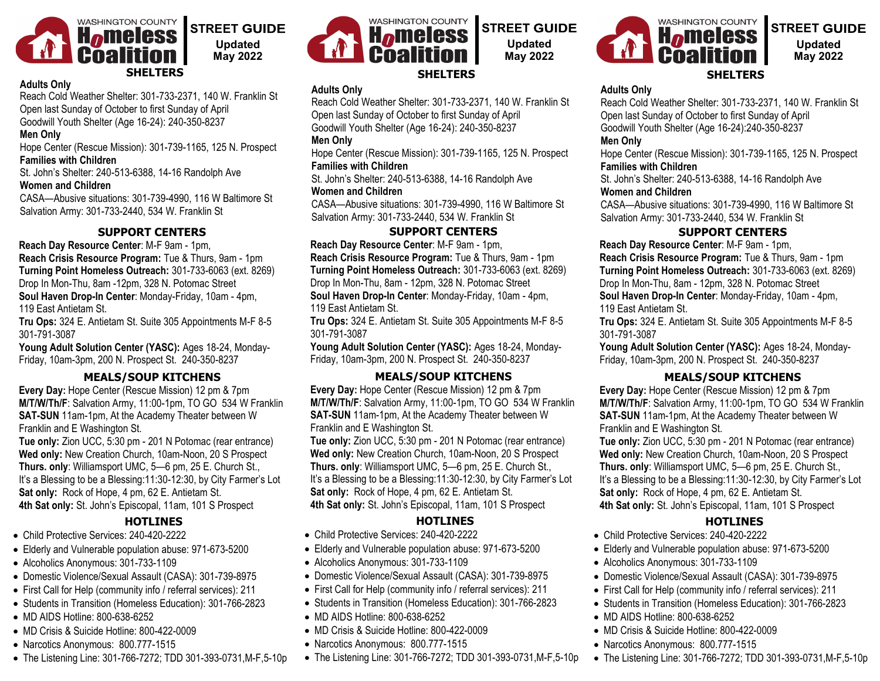

### **Adults Only**

Reach Cold Weather Shelter: 301-733-2371, 140 W. Franklin St Open last Sunday of October to first Sunday of April Goodwill Youth Shelter (Age 16-24): 240-350-8237

### **Men Only**

Hope Center (Rescue Mission): 301-739-1165, 125 N. Prospect **Families with Children**

St. John's Shelter: 240-513-6388, 14-16 Randolph Ave **Women and Children**

CASA—Abusive situations: 301-739-4990, 116 W Baltimore St Salvation Army: 301-733-2440, 534 W. Franklin St

## **SUPPORT CENTERS**

**Reach Day Resource Center**: M-F 9am - 1pm, **Reach Crisis Resource Program:** Tue & Thurs, 9am - 1pm **Turning Point Homeless Outreach:** 301-733-6063 (ext. 8269) Drop In Mon-Thu, 8am -12pm, 328 N. Potomac Street **Soul Haven Drop-In Center**: Monday-Friday, 10am - 4pm, 119 East Antietam St.

**Tru Ops:** 324 E. Antietam St. Suite 305 Appointments M-F 8-5 301-791-3087

**Young Adult Solution Center (YASC):** Ages 18-24, Monday-Friday, 10am-3pm, 200 N. Prospect St. 240-350-8237

**Every Day:** Hope Center (Rescue Mission) 12 pm & 7pm **M/T/W/Th/F**: Salvation Army, 11:00-1pm, TO GO 534 W Franklin **SAT-SUN** 11am-1pm, At the Academy Theater between W Franklin and E Washington St.

**Tue only:** Zion UCC, 5:30 pm - 201 N Potomac (rear entrance) **Wed only:** New Creation Church, 10am-Noon, 20 S Prospect **Thurs. only**: Williamsport UMC, 5—6 pm, 25 E. Church St., It's a Blessing to be a Blessing:11:30-12:30, by City Farmer's Lot **Sat only:** Rock of Hope, 4 pm, 62 E. Antietam St. **4th Sat only:** St. John's Episcopal, 11am, 101 S Prospect

## **HOTLINES**

- Child Protective Services: 240-420-2222
- Elderly and Vulnerable population abuse: 971-673-5200
- Alcoholics Anonymous: 301-733-1109
- Domestic Violence/Sexual Assault (CASA): 301-739-8975
- First Call for Help (community info / referral services): 211
- Students in Transition (Homeless Education): 301-766-2823
- MD AIDS Hotline: 800-638-6252
- MD Crisis & Suicide Hotline: 800-422-0009
- Narcotics Anonymous: 800.777-1515
- The Listening Line: 301-766-7272; TDD 301-393-0731,M-F,5-10p



# **STREET GUIDE Updated May 2022**

# WASHINGTON COUNTY **Homeless Coaliti**

## **STREET GUIDE Updated May 2022**

### **SHELTERS**

### **Adults Only**

Reach Cold Weather Shelter: 301-733-2371, 140 W. Franklin St Open last Sunday of October to first Sunday of April Goodwill Youth Shelter (Age 16-24):240-350-8237

### **Men Only**

Hope Center (Rescue Mission): 301-739-1165, 125 N. Prospect **Families with Children**

St. John's Shelter: 240-513-6388, 14-16 Randolph Ave **Women and Children**

CASA—Abusive situations: 301-739-4990, 116 W Baltimore St Salvation Army: 301-733-2440, 534 W. Franklin St

## **SUPPORT CENTERS**

**Reach Day Resource Center**: M-F 9am - 1pm, **Reach Crisis Resource Program:** Tue & Thurs, 9am - 1pm **Turning Point Homeless Outreach:** 301-733-6063 (ext. 8269) Drop In Mon-Thu, 8am - 12pm, 328 N. Potomac Street

**Soul Haven Drop-In Center**: Monday-Friday, 10am - 4pm, 119 East Antietam St.

**Tru Ops:** 324 E. Antietam St. Suite 305 Appointments M-F 8-5 301-791-3087

**Young Adult Solution Center (YASC):** Ages 18-24, Monday-Friday, 10am-3pm, 200 N. Prospect St. 240-350-8237

### **MEALS/SOUP KITCHENS**

**Every Day:** Hope Center (Rescue Mission) 12 pm & 7pm **M/T/W/Th/F**: Salvation Army, 11:00-1pm, TO GO 534 W Franklin **SAT-SUN** 11am-1pm, At the Academy Theater between W Franklin and E Washington St.

**Tue only:** Zion UCC, 5:30 pm - 201 N Potomac (rear entrance) **Wed only:** New Creation Church, 10am-Noon, 20 S Prospect **Thurs. only**: Williamsport UMC, 5—6 pm, 25 E. Church St., It's a Blessing to be a Blessing:11:30-12:30, by City Farmer's Lot **Sat only:** Rock of Hope, 4 pm, 62 E. Antietam St. **4th Sat only:** St. John's Episcopal, 11am, 101 S Prospect

## **HOTLINES**

- Child Protective Services: 240-420-2222
- Elderly and Vulnerable population abuse: 971-673-5200
- Alcoholics Anonymous: 301-733-1109
- Domestic Violence/Sexual Assault (CASA): 301-739-8975
- First Call for Help (community info / referral services): 211
- Students in Transition (Homeless Education): 301-766-2823
- MD AIDS Hotline: 800-638-6252
- MD Crisis & Suicide Hotline: 800-422-0009
- Narcotics Anonymous: 800.777-1515
- The Listening Line: 301-766-7272; TDD 301-393-0731,M-F,5-10p

**Adults Only** Reach Cold Weather Shelter: 301-733-2371, 140 W. Franklin St

Open last Sunday of October to first Sunday of April Goodwill Youth Shelter (Age 16-24): 240-350-8237

### **Men Only**

Hope Center (Rescue Mission): 301-739-1165, 125 N. Prospect **Families with Children**

St. John's Shelter: 240-513-6388, 14-16 Randolph Ave **Women and Children**

CASA—Abusive situations: 301-739-4990, 116 W Baltimore St Salvation Army: 301-733-2440, 534 W. Franklin St

## **SUPPORT CENTERS**

**Reach Day Resource Center**: M-F 9am - 1pm, **Reach Crisis Resource Program:** Tue & Thurs, 9am - 1pm **Turning Point Homeless Outreach:** 301-733-6063 (ext. 8269) Drop In Mon-Thu, 8am - 12pm, 328 N. Potomac Street **Soul Haven Drop-In Center**: Monday-Friday, 10am - 4pm, 119 East Antietam St.

**Tru Ops:** 324 E. Antietam St. Suite 305 Appointments M-F 8-5 301-791-3087

**Young Adult Solution Center (YASC):** Ages 18-24, Monday-Friday, 10am-3pm, 200 N. Prospect St. 240-350-8237

## **MEALS/SOUP KITCHENS**

**Every Day:** Hope Center (Rescue Mission) 12 pm & 7pm **M/T/W/Th/F**: Salvation Army, 11:00-1pm, TO GO 534 W Franklin **SAT-SUN** 11am-1pm, At the Academy Theater between W Franklin and E Washington St.

**Tue only:** Zion UCC, 5:30 pm - 201 N Potomac (rear entrance) **Wed only:** New Creation Church, 10am-Noon, 20 S Prospect **Thurs. only**: Williamsport UMC, 5—6 pm, 25 E. Church St., It's a Blessing to be a Blessing:11:30-12:30, by City Farmer's Lot **Sat only:** Rock of Hope, 4 pm, 62 E. Antietam St. **4th Sat only:** St. John's Episcopal, 11am, 101 S Prospect

## **HOTLINES**

- Child Protective Services: 240-420-2222
- Elderly and Vulnerable population abuse: 971-673-5200
- Alcoholics Anonymous: 301-733-1109
- Domestic Violence/Sexual Assault (CASA): 301-739-8975
- First Call for Help (community info / referral services): 211
- Students in Transition (Homeless Education): 301-766-2823
- MD AIDS Hotline: 800-638-6252
- MD Crisis & Suicide Hotline: 800-422-0009
- Narcotics Anonymous: 800.777-1515
- The Listening Line: 301-766-7272; TDD 301-393-0731,M-F,5-10p

**MEALS/SOUP KITCHENS**